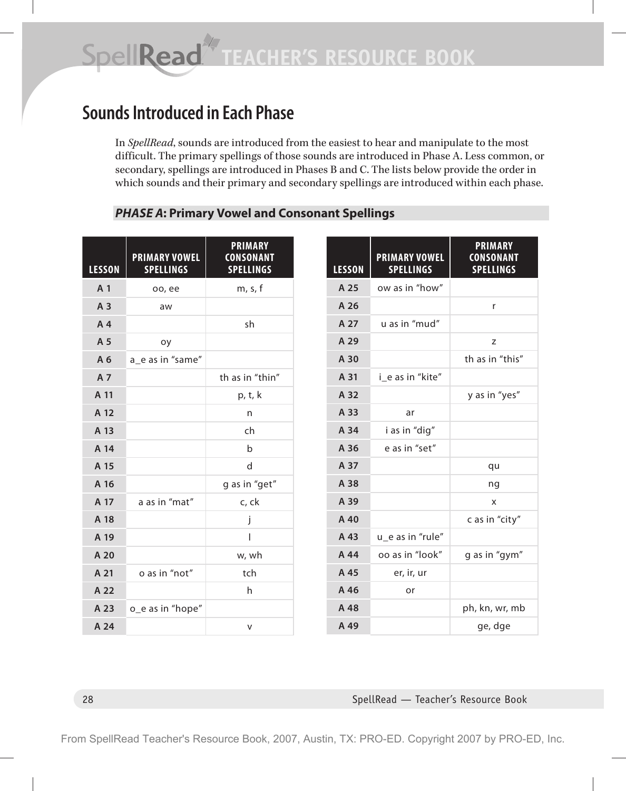# **Sounds Introduced in Each Phase**

In *SpellRead*, sounds are introduced from the easiest to hear and manipulate to the most difficult. The primary spellings of those sounds are introduced in Phase A. Less common, or secondary, spellings are introduced in Phases B and C. The lists below provide the order in which sounds and their primary and secondary spellings are introduced within each phase.

#### *PHASE A***: Primary Vowel and Consonant Spellings**

| <b>LESSON</b>  | <b>PRIMARY VOWEL</b><br><b>SPELLINGS</b> | <b>PRIMARY</b><br><b>CONSONANT</b><br><b>SPELLINGS</b> |
|----------------|------------------------------------------|--------------------------------------------------------|
| A <sub>1</sub> | oo, ee                                   | m, s, f                                                |
| A 3            | aw                                       |                                                        |
| A <sub>4</sub> |                                          | sh                                                     |
| A 5            | oy                                       |                                                        |
| A 6            | a_e as in "same"                         |                                                        |
| A 7            |                                          | th as in "thin"                                        |
| A 11           |                                          | p, t, k                                                |
| A 12           |                                          | n                                                      |
| A 13           |                                          | ch                                                     |
| A 14           |                                          | $\mathsf b$                                            |
| A 15           |                                          | d                                                      |
| A 16           |                                          | g as in "get"                                          |
| A 17           | a as in "mat"                            | c, ck                                                  |
| A 18           |                                          | j                                                      |
| A 19           |                                          | I                                                      |
| A 20           |                                          | w, wh                                                  |
| A 21           | o as in "not"                            | tch                                                    |
| A 22           |                                          | h                                                      |
| A 23           | o_e as in "hope"                         |                                                        |
| A 24           |                                          | v                                                      |

| <b>LESSON</b> | <b>PRIMARY VOWEL</b><br><b>SPELLINGS</b> | <b>PRIMARY</b><br><b>CONSONANT</b><br><b>SPELLINGS</b> |
|---------------|------------------------------------------|--------------------------------------------------------|
| A 25          | ow as in "how"                           |                                                        |
| A 26          |                                          | r                                                      |
| A 27          | u as in "mud"                            |                                                        |
| A 29          |                                          | Z                                                      |
| A 30          |                                          | th as in "this"                                        |
| A 31          | i e as in "kite"                         |                                                        |
| A 32          |                                          | y as in "yes"                                          |
| A 33          | ar                                       |                                                        |
| A 34          | i as in "dig"                            |                                                        |
| A 36          | e as in "set"                            |                                                        |
| A 37          |                                          | qu                                                     |
| A 38          |                                          | ng                                                     |
| A 39          |                                          | X                                                      |
| A 40          |                                          | c as in "city"                                         |
| A 43          | u_e as in "rule"                         |                                                        |
| A 44          | oo as in "look"                          | g as in "gym"                                          |
| A 45          | er, ir, ur                               |                                                        |
| A 46          | or                                       |                                                        |
| A 48          |                                          | ph, kn, wr, mb                                         |
| A 49          |                                          | ge, dge                                                |

#### 28 SpellRead — Teacher's Resource Book

From SpellRead Teacher's Resource Book, 2007, Austin, TX: PRO-ED. Copyright 2007 by PRO-ED, Inc.